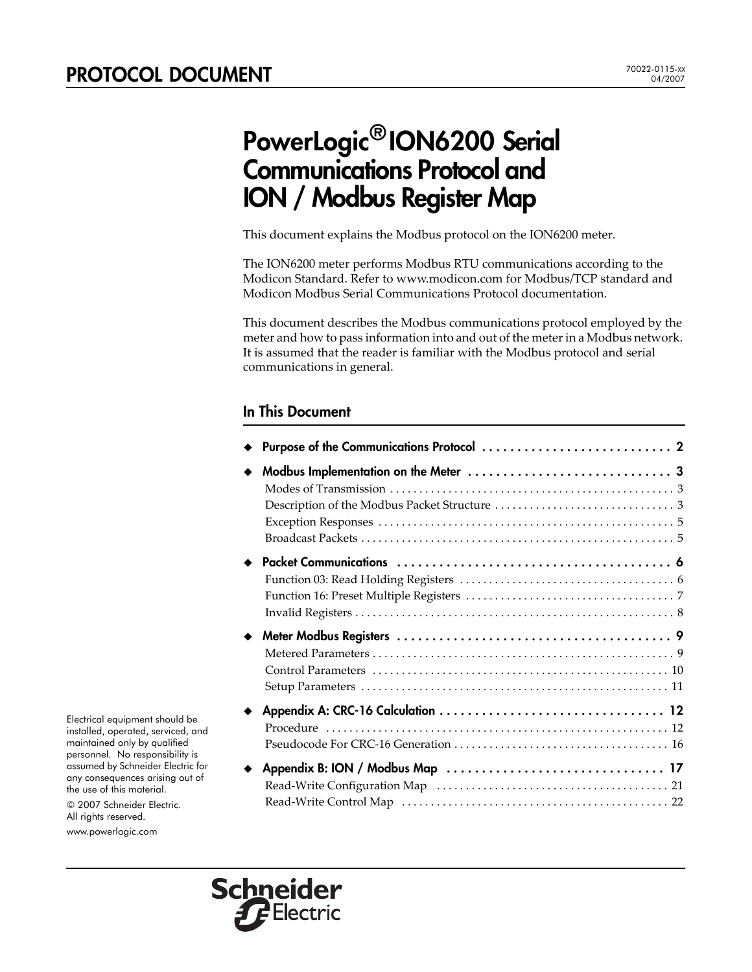# PowerLogic® ION6200 Serial Communications Protocol and ION / Modbus Register Map

This document explains the Modbus protocol on the ION6200 meter.

The ION6200 meter performs Modbus RTU communications according to the Modicon Standard. Refer to [www.modicon.com](http://www.modicon.com) for Modbus/TCP standard and Modicon Modbus Serial Communications Protocol documentation.

This document describes the Modbus communications protocol employed by the meter and how to pass information into and out of the meterin a Modbus network. It is assumed that the reader is familiar with the Modbus protocol and serial communications in general.

### In This Document

| Procedure |    |
|-----------|----|
|           | 22 |

Electrical equipment should be installed, operated, serviced, and maintained only by qualified personnel. No responsibility is assumed by Schneider Electric for any consequences arising out of the use of this material.

© 2007 Schneider Electric. All rights reserved.

www.powerlogic.com

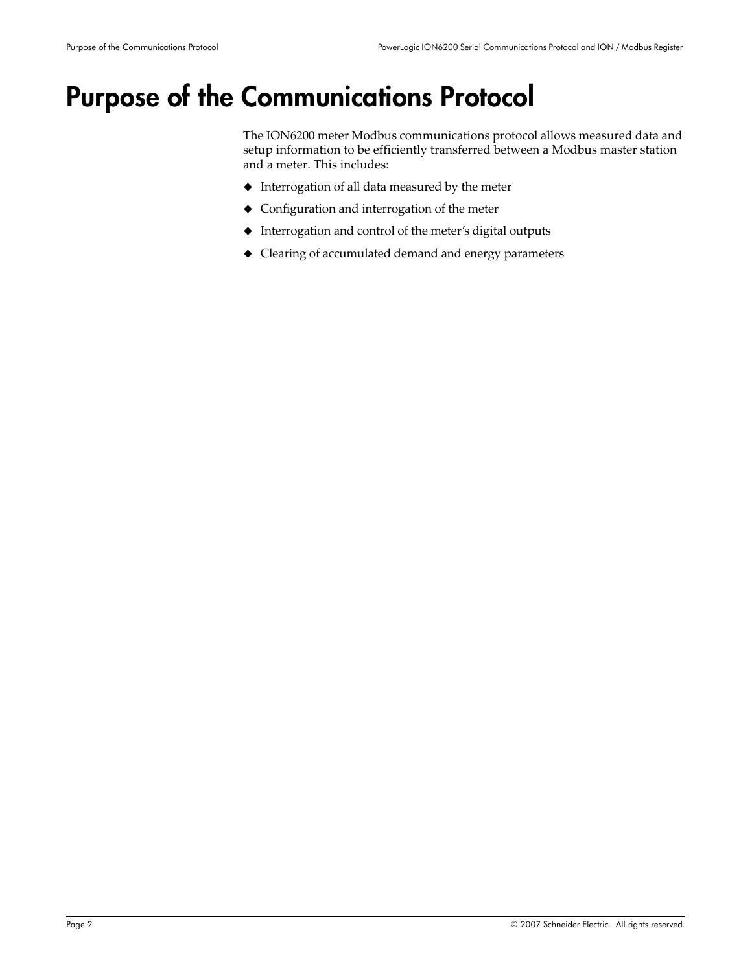# <span id="page-1-0"></span>Purpose of the Communications Protocol

The ION6200 meter Modbus communications protocol allows measured data and setup information to be efficiently transferred between a Modbus master station and a meter. This includes:

- Interrogation of all data measured by the meter
- Configuration and interrogation of the meter
- Interrogation and control of the meter's digital outputs
- Clearing of accumulated demand and energy parameters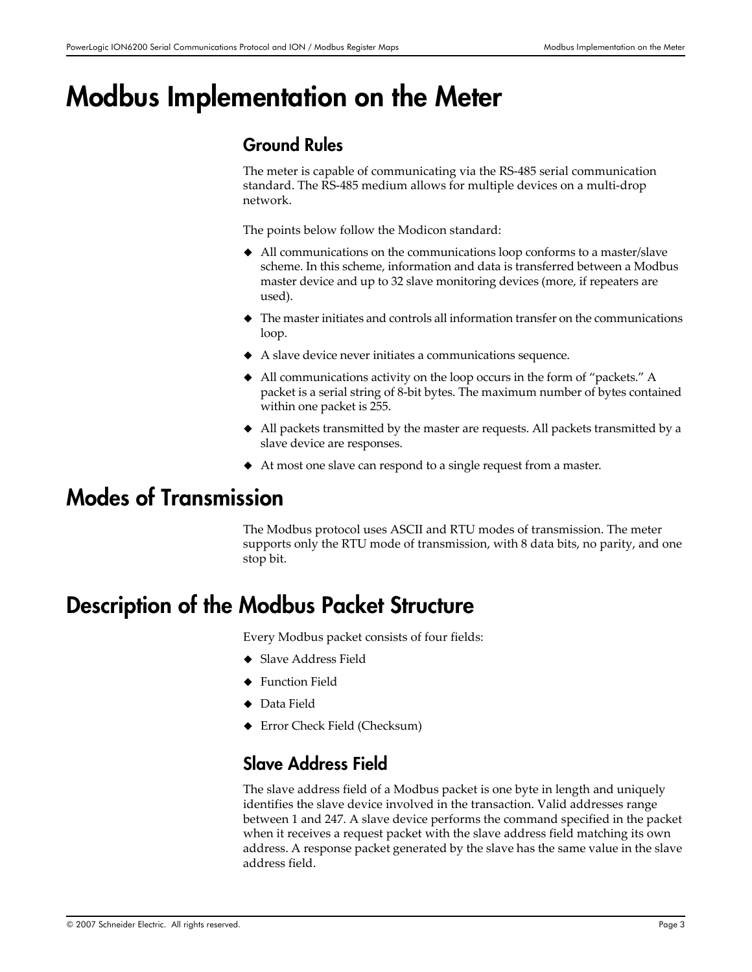# <span id="page-2-0"></span>Modbus Implementation on the Meter

### Ground Rules

The meter is capable of communicating via the RS‐485 serial communication standard. The RS‐485 medium allows for multiple devices on a multi‐drop network.

The points below follow the Modicon standard:

- All communications on the communications loop conforms to a master/slave scheme. In this scheme, information and data is transferred between a Modbus master device and up to 32 slave monitoring devices (more, if repeaters are used).
- $\blacklozenge$  The master initiates and controls all information transfer on the communications loop.
- A slave device never initiates a communications sequence.
- All communications activity on the loop occurs in the form of "packets." A packet is a serial string of 8‐bit bytes. The maximum number of bytes contained within one packet is 255.
- All packets transmitted by the master are requests. All packets transmitted by a slave device are responses.
- At most one slave can respond to a single request from a master.

# <span id="page-2-1"></span>Modes of Transmission

The Modbus protocol uses ASCII and RTU modes of transmission. The meter supports only the RTU mode of transmission, with 8 data bits, no parity, and one stop bit.

# <span id="page-2-2"></span>Description of the Modbus Packet Structure

Every Modbus packet consists of four fields:

- ◆ Slave Address Field
- ◆ Function Field
- ◆ Data Field
- Error Check Field (Checksum)

### Slave Address Field

The slave address field of a Modbus packet is one byte in length and uniquely identifies the slave device involved in the transaction. Valid addresses range between 1 and 247. A slave device performs the command specified in the packet when it receives a request packet with the slave address field matching its own address. A response packet generated by the slave has the same value in the slave address field.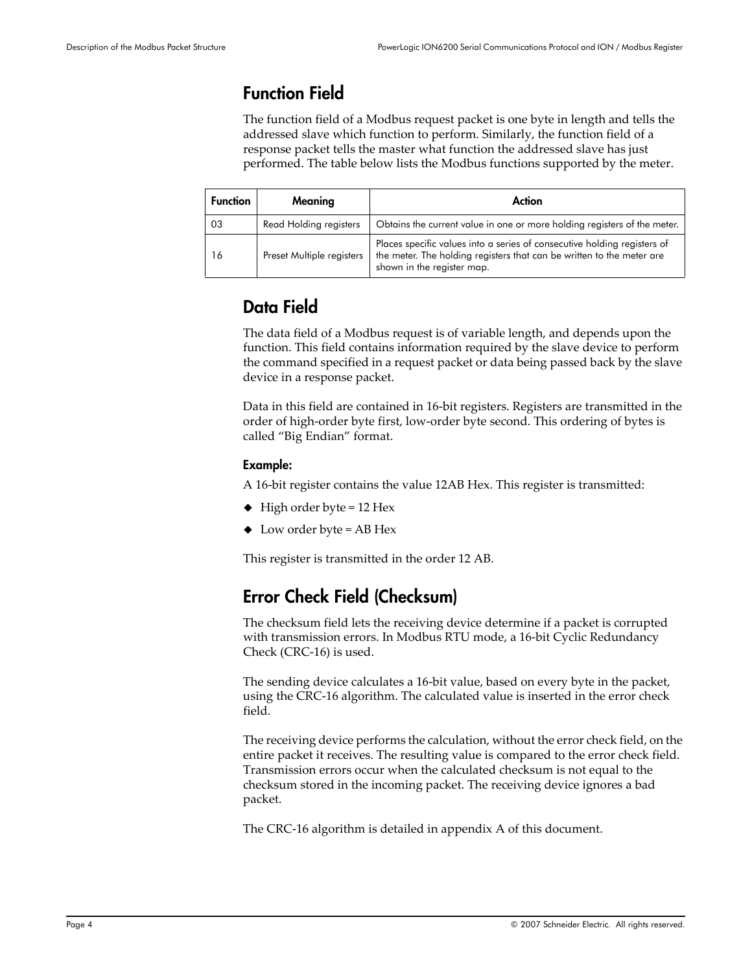### Function Field

The function field of a Modbus request packet is one byte in length and tells the addressed slave which function to perform. Similarly, the function field of a response packet tells the master what function the addressed slave has just performed. The table below lists the Modbus functions supported by the meter.

| <b>Function</b> | Meaning                   | Action                                                                                                                                                                          |
|-----------------|---------------------------|---------------------------------------------------------------------------------------------------------------------------------------------------------------------------------|
| 03              | Read Holding registers    | Obtains the current value in one or more holding registers of the meter.                                                                                                        |
| 16              | Preset Multiple registers | Places specific values into a series of consecutive holding registers of<br>the meter. The holding registers that can be written to the meter are<br>shown in the register map. |

### Data Field

The data field of a Modbus request is of variable length, and depends upon the function. This field contains information required by the slave device to perform the command specified in a request packet or data being passed back by the slave device in a response packet.

Data in this field are contained in 16‐bit registers. Registers are transmitted in the order of high‐order byte first, low‐order byte second. This ordering of bytes is called "Big Endian" format.

### Example:

A 16‐bit register contains the value 12AB Hex. This register is transmitted:

- $\blacklozenge$  High order byte = 12 Hex
- $\blacklozenge$  Low order byte = AB Hex

This register is transmitted in the order 12 AB.

## Error Check Field (Checksum)

The checksum field lets the receiving device determine if a packet is corrupted with transmission errors. In Modbus RTU mode, a 16‐bit Cyclic Redundancy Check (CRC‐16) is used.

The sending device calculates a 16‐bit value, based on every byte in the packet, using the CRC‐16 algorithm. The calculated value is inserted in the error check field.

The receiving device performs the calculation, without the error check field, on the entire packet it receives. The resulting value is compared to the error check field. Transmission errors occur when the calculated checksum is not equal to the checksum stored in the incoming packet. The receiving device ignores a bad packet.

The CRC‐16 algorithm is detailed in appendix A of this document.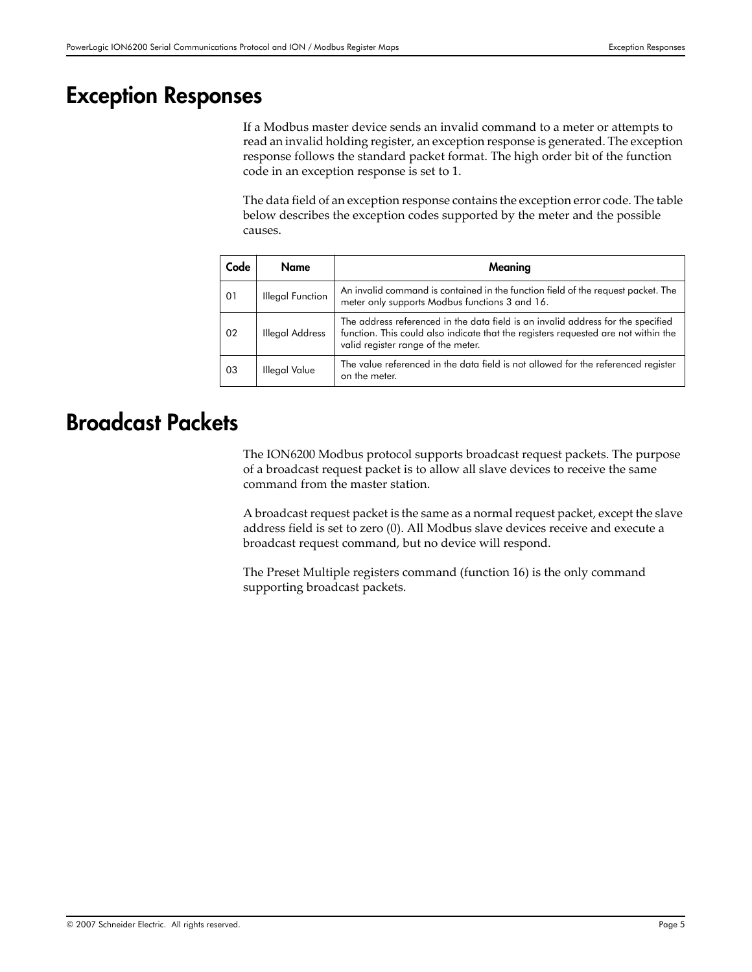## <span id="page-4-0"></span>Exception Responses

If a Modbus master device sends an invalid command to a meter or attempts to read an invalid holding register, an exception response is generated. The exception response follows the standard packet format. The high order bit of the function code in an exception response is set to 1.

The data field of an exception response contains the exception error code. The table below describes the exception codes supported by the meter and the possible causes.

| Code | Name                   | Meaning                                                                                                                                                                                                      |
|------|------------------------|--------------------------------------------------------------------------------------------------------------------------------------------------------------------------------------------------------------|
| 01   | Illegal Function       | An invalid command is contained in the function field of the request packet. The<br>meter only supports Modbus functions 3 and 16.                                                                           |
| 02   | <b>Illegal Address</b> | The address referenced in the data field is an invalid address for the specified<br>function. This could also indicate that the registers requested are not within the<br>valid register range of the meter. |
| -03  | <b>Illegal Value</b>   | The value referenced in the data field is not allowed for the referenced register<br>on the meter.                                                                                                           |

# <span id="page-4-1"></span>Broadcast Packets

The ION6200 Modbus protocol supports broadcast request packets. The purpose of a broadcast request packet is to allow all slave devices to receive the same command from the master station.

A broadcast request packet is the same as a normal request packet, except the slave address field is set to zero (0). All Modbus slave devices receive and execute a broadcast request command, but no device will respond.

The Preset Multiple registers command (function 16) is the only command supporting broadcast packets.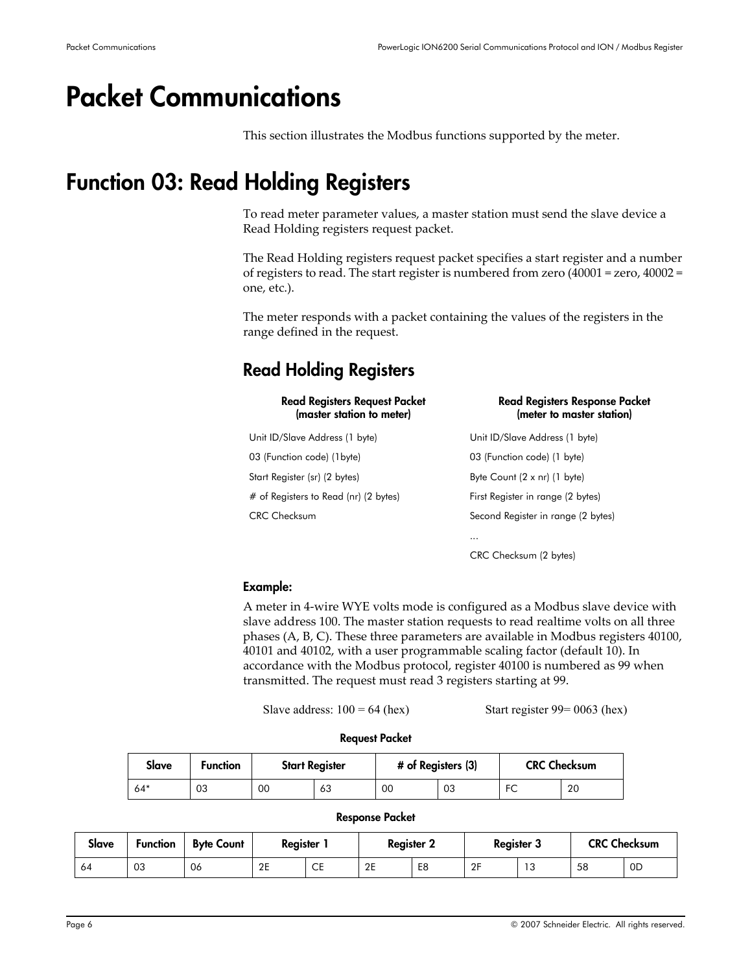# <span id="page-5-0"></span>Packet Communications

This section illustrates the Modbus functions supported by the meter.

# <span id="page-5-1"></span>Function 03: Read Holding Registers

To read meter parameter values, a master station must send the slave device a Read Holding registers request packet.

The Read Holding registers request packet specifies a start register and a number of registers to read. The start register is numbered from zero (40001 = zero, 40002 = one, etc.).

The meter responds with a packet containing the values of the registers in the range defined in the request.

## Read Holding Registers

| <b>Read Registers Request Packet</b><br>(master station to meter) | <b>Read Registers Response Packet</b><br>(meter to master station) |
|-------------------------------------------------------------------|--------------------------------------------------------------------|
| Unit ID/Slave Address (1 byte)                                    | Unit ID/Slave Address (1 byte)                                     |
| 03 (Function code) (1byte)                                        | 03 (Function code) (1 byte)                                        |
| Start Register (sr) (2 bytes)                                     | Byte Count $(2 \times nr)$ (1 byte)                                |
| # of Registers to Read (nr) (2 bytes)                             | First Register in range (2 bytes)                                  |
| CRC Checksum                                                      | Second Register in range (2 bytes)                                 |
|                                                                   |                                                                    |
|                                                                   | CRC Checksum (2 bytes)                                             |

### Example:

A meter in 4‐wire WYE volts mode is configured as a Modbus slave device with slave address 100. The master station requests to read realtime volts on all three phases (A, B, C). These three parameters are available in Modbus registers 40100, 40101 and 40102, with a user programmable scaling factor (default 10). In accordance with the Modbus protocol, register 40100 is numbered as 99 when transmitted. The request must read 3 registers starting at 99.

Slave address:  $100 = 64$  (hex) Start register  $99 = 0063$  (hex)

#### Request Packet

| Slave | <b>Function</b> | <b>Start Register</b> |    | # of Registers (3) |    | <b>CRC Checksum</b> |    |  |
|-------|-----------------|-----------------------|----|--------------------|----|---------------------|----|--|
| 64*   | 03              | 00                    | 63 | 00                 | 03 | EC<br>╰             | 20 |  |

#### Response Packet

| Slave | <b>Function</b> | <b>Byte Count</b> | Reaister |           | <b>Register 2</b> |    | <b>Register 3</b> |                  |    | <b>CRC Checksum</b> |
|-------|-----------------|-------------------|----------|-----------|-------------------|----|-------------------|------------------|----|---------------------|
| 64    | 03              | 06                | 2E       | <b>CE</b> | 2E                | E8 | 2F                | <b>10</b><br>ں ا | 58 | 0D                  |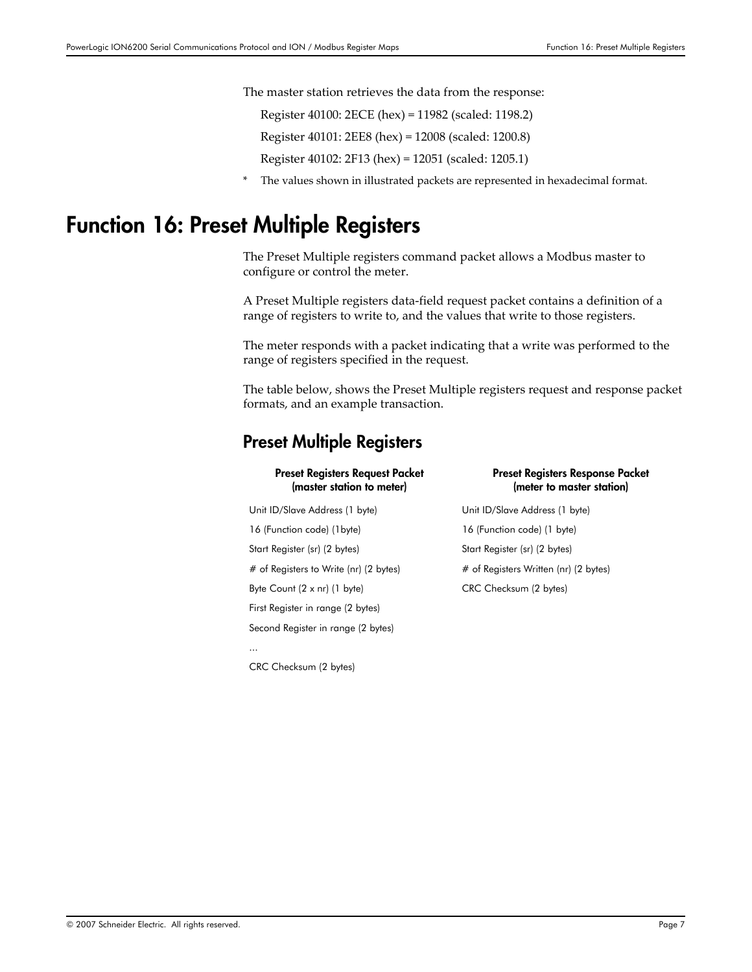The master station retrieves the data from the response:

Register 40100: 2ECE (hex) = 11982 (scaled: 1198.2)

Register 40101: 2EE8 (hex) = 12008 (scaled: 1200.8)

Register 40102: 2F13 (hex) = 12051 (scaled: 1205.1)

The values shown in illustrated packets are represented in hexadecimal format.

# <span id="page-6-0"></span>Function 16: Preset Multiple Registers

The Preset Multiple registers command packet allows a Modbus master to configure or control the meter.

A Preset Multiple registers data‐field request packet contains a definition of a range of registers to write to, and the values that write to those registers.

The meter responds with a packet indicating that a write was performed to the range of registers specified in the request.

The table below, shows the Preset Multiple registers request and response packet formats, and an example transaction.

### Preset Multiple Registers

#### Preset Registers Request Packet (master station to meter)

Unit ID/Slave Address (1 byte) Unit ID/Slave Address (1 byte) 16 (Function code) (1byte) 16 (Function code) (1 byte) Start Register (sr) (2 bytes) Start Register (sr) (2 bytes) # of Registers to Write (nr) (2 bytes) # of Registers Written (nr) (2 bytes) Byte Count (2 x nr) (1 byte) CRC Checksum (2 bytes) First Register in range (2 bytes) Second Register in range (2 bytes)

CRC Checksum (2 bytes)

...

#### Preset Registers Response Packet (meter to master station)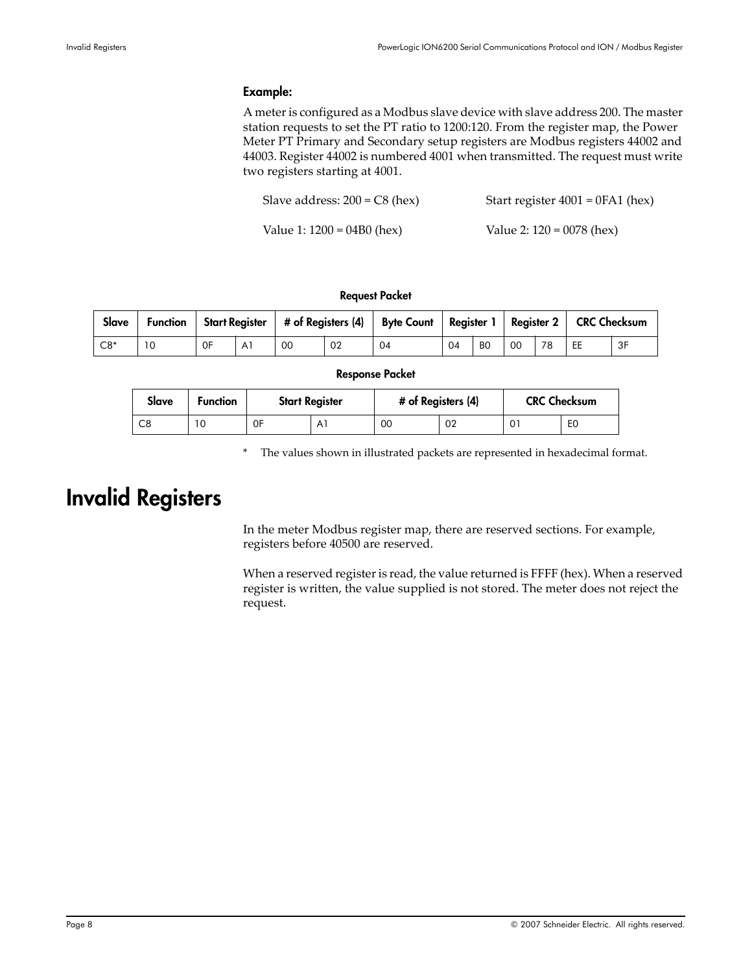### Example:

A meteris configured as a Modbus slave device with slave address 200. The master station requests to set the PT ratio to 1200:120. From the register map, the Power Meter PT Primary and Secondary setup registers are Modbus registers 44002 and 44003. Register 44002 is numbered 4001 when transmitted. The request must write two registers starting at 4001.

| Slave address: $200 = C8$ (hex) | Start register $4001 = 0FA1$ (hex) |
|---------------------------------|------------------------------------|
| Value 1: $1200 = 04B0$ (hex)    | Value 2: $120 = 0078$ (hex)        |

#### Request Packet

| Slave             | <b>Function</b> |    |    |    | Start Register   # of Registers (4)   Byte Count   Register 1   Register 2   CRC Checksum |    |                |    |    |    |    |
|-------------------|-----------------|----|----|----|-------------------------------------------------------------------------------------------|----|----------------|----|----|----|----|
| $\overline{C8^*}$ | 10              | 0F | 00 | 02 | 04                                                                                        | 04 | B <sub>0</sub> | 00 | 78 | EE | 3F |

#### Response Packet

| Slave | <b>Function</b> |    | <b>Start Register</b> | # of Registers (4) |    | <b>CRC Checksum</b> |                |  |
|-------|-----------------|----|-----------------------|--------------------|----|---------------------|----------------|--|
| C8    | ١0              | 0F | Αì                    | 00                 | 02 |                     | E <sub>0</sub> |  |

\* The values shown in illustrated packets are represented in hexadecimal format.

# <span id="page-7-0"></span>Invalid Registers

In the meter Modbus register map, there are reserved sections. For example, registers before 40500 are reserved.

When a reserved register is read, the value returned is FFFF (hex). When a reserved register is written, the value supplied is not stored. The meter does not reject the request.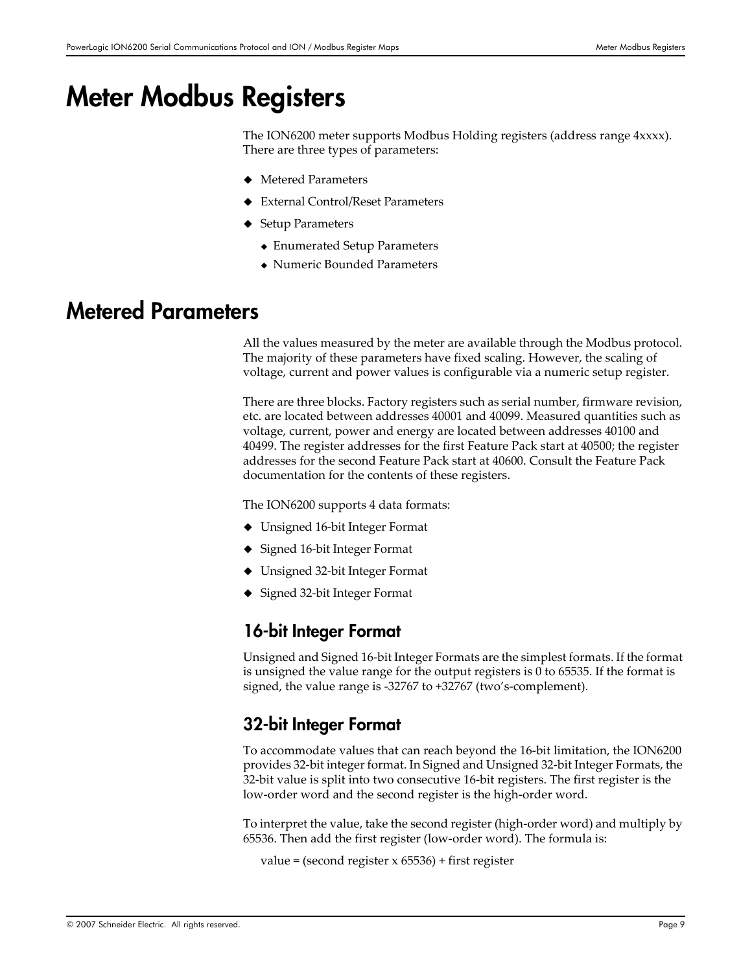# <span id="page-8-0"></span>Meter Modbus Registers

The ION6200 meter supports Modbus Holding registers (address range 4xxxx). There are three types of parameters:

- Metered Parameters
- External Control/Reset Parameters
- ◆ Setup Parameters
	- Enumerated Setup Parameters
	- Numeric Bounded Parameters

### <span id="page-8-1"></span>Metered Parameters

All the values measured by the meter are available through the Modbus protocol. The majority of these parameters have fixed scaling. However, the scaling of voltage, current and power values is configurable via a numeric setup register.

There are three blocks. Factory registers such as serial number, firmware revision, etc. are located between addresses 40001 and 40099. Measured quantities such as voltage, current, power and energy are located between addresses 40100 and 40499. The register addresses for the first Feature Pack start at 40500; the register addresses for the second Feature Pack start at 40600. Consult the Feature Pack documentation for the contents of these registers.

The ION6200 supports 4 data formats:

- Unsigned 16‐bit Integer Format
- ◆ Signed 16-bit Integer Format
- Unsigned 32‐bit Integer Format
- ◆ Signed 32-bit Integer Format

### 16-bit Integer Format

Unsigned and Signed 16‐bit Integer Formats are the simplest formats. If the format is unsigned the value range for the output registers is 0 to 65535. If the format is signed, the value range is ‐32767 to +32767 (two's‐complement).

### 32-bit Integer Format

To accommodate values that can reach beyond the 16‐bit limitation, the ION6200 provides 32-bit integer format. In Signed and Unsigned 32-bit Integer Formats, the 32‐bit value is split into two consecutive 16‐bit registers. The first register is the low‐order word and the second register is the high‐order word.

To interpret the value, take the second register (high‐order word) and multiply by 65536. Then add the first register (low‐order word). The formula is:

value = (second register x 65536) + first register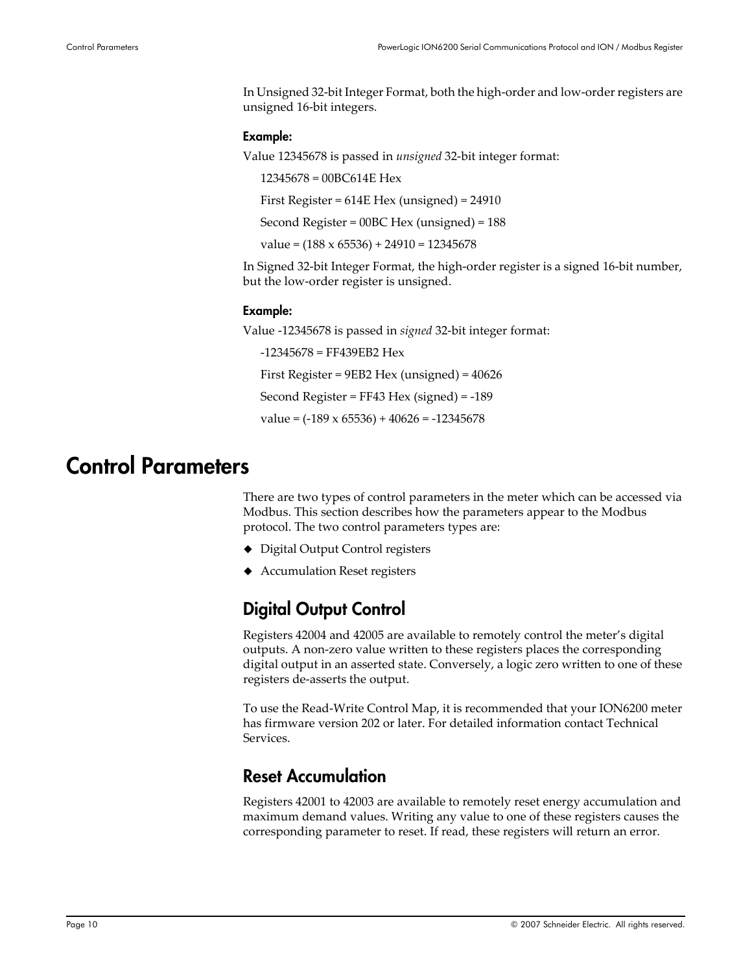In Unsigned 32‐bit Integer Format, both the high‐order and low‐orderregisters are unsigned 16‐bit integers.

#### Example:

Value 12345678 is passed in *unsigned* 32‐bit integer format:

12345678 = 00BC614E Hex

First Register = 614E Hex (unsigned) = 24910

Second Register = 00BC Hex (unsigned) = 188

 $value = (188 \times 65536) + 24910 = 12345678$ 

In Signed 32‐bit Integer Format, the high‐order register is a signed 16‐bit number, but the low‐order register is unsigned.

#### Example:

Value ‐12345678 is passed in *signed* 32‐bit integer format:

‐12345678 = FF439EB2 Hex

First Register = 9EB2 Hex (unsigned) = 40626

Second Register = FF43 Hex (signed) = ‐189

value =  $(-189 \times 65536) + 40626 = -12345678$ 

## <span id="page-9-0"></span>Control Parameters

There are two types of control parameters in the meter which can be accessed via Modbus. This section describes how the parameters appear to the Modbus protocol. The two control parameters types are:

- ◆ Digital Output Control registers
- Accumulation Reset registers

### <span id="page-9-1"></span>Digital Output Control

Registers 42004 and 42005 are available to remotely control the meter's digital outputs. A non‐zero value written to these registers places the corresponding digital output in an asserted state. Conversely, a logic zero written to one of these registers de‐asserts the output.

To use the Read‐Write Control Map, it is recommended that your ION6200 meter has firmware version 202 or later. For detailed information contact Technical Services.

### Reset Accumulation

Registers 42001 to 42003 are available to remotely reset energy accumulation and maximum demand values. Writing any value to one of these registers causes the corresponding parameter to reset. If read, these registers will return an error.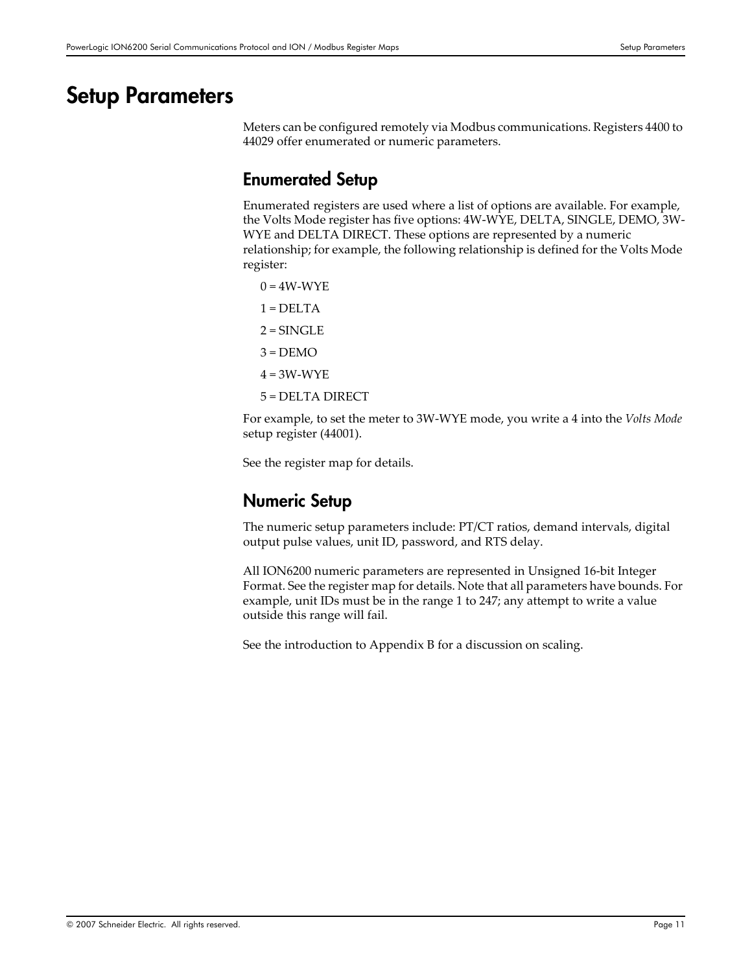## <span id="page-10-0"></span>Setup Parameters

Meters can be configured remotely via Modbus communications. Registers 4400 to 44029 offer enumerated or numeric parameters.

### Enumerated Setup

Enumerated registers are used where a list of options are available. For example, the Volts Mode register has five options: 4W‐WYE, DELTA, SINGLE, DEMO, 3W‐ WYE and DELTA DIRECT. These options are represented by a numeric relationship; for example, the following relationship is defined for the Volts Mode register:

 $0 = 4W-WYE$  $1 = DELTA$  $2 =$ SINGLE  $3 = DEMO$  $4 = 3W-WYE$ 5 = DELTA DIRECT

For example, to set the meter to 3W‐WYE mode, you write a 4 into the *Volts Mode* setup register (44001).

See the register map for details.

### Numeric Setup

The numeric setup parameters include: PT/CT ratios, demand intervals, digital output pulse values, unit ID, password, and RTS delay.

All ION6200 numeric parameters are represented in Unsigned 16‐bit Integer Format. See the register map for details. Note that all parameters have bounds. For example, unit IDs must be in the range 1 to 247; any attempt to write a value outside this range will fail.

See the introduction to Appendix B for a discussion on scaling.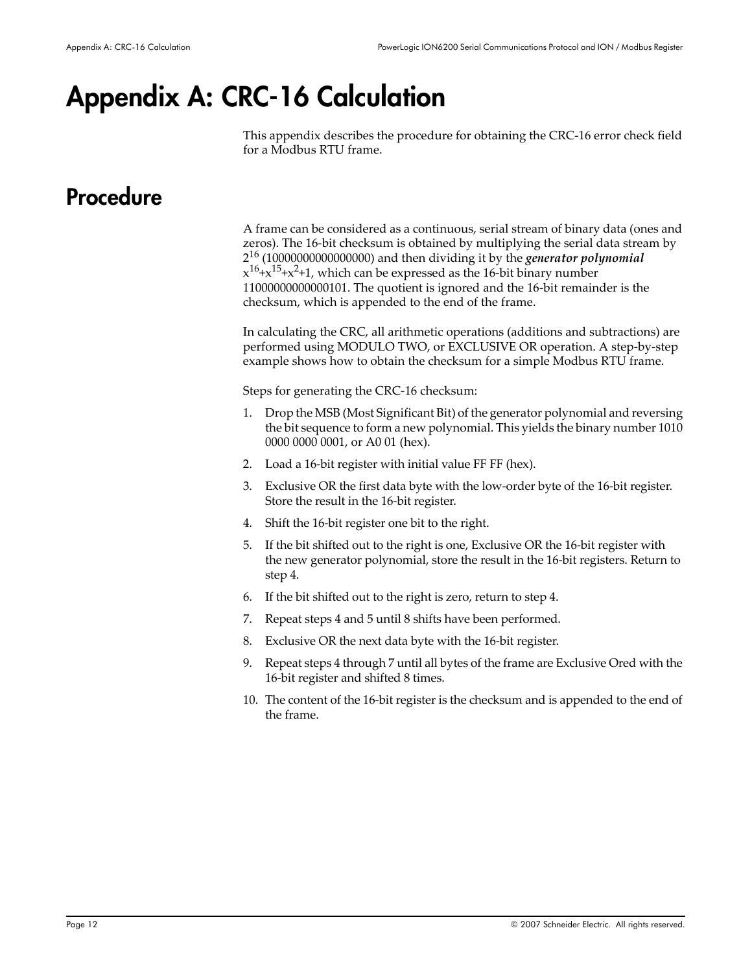# <span id="page-11-0"></span>Appendix A: CRC-16 Calculation

This appendix describes the procedure for obtaining the CRC‐16 error check field for a Modbus RTU frame.

# <span id="page-11-1"></span>**Procedure**

A frame can be considered as a continuous, serial stream of binary data (ones and zeros). The 16‐bit checksum is obtained by multiplying the serial data stream by 2<sup>16</sup> (10000000000000000) and then dividing it by the *generator polynomial*  $x^{16}+x^{15}+x^2+1$ , which can be expressed as the 16-bit binary number 11000000000000101. The quotient is ignored and the 16‐bit remainder is the checksum, which is appended to the end of the frame.

In calculating the CRC, all arithmetic operations (additions and subtractions) are performed using MODULO TWO, or EXCLUSIVE OR operation. A step-by-step example shows how to obtain the checksum for a simple Modbus RTU frame.

Steps for generating the CRC‐16 checksum:

- 1. Drop the MSB (Most Significant Bit) of the generator polynomial and reversing the bit sequence to form a new polynomial. This yields the binary number 1010 0000 0000 0001, or A0 01 (hex).
- 2. Load a 16‐bit register with initial value FF FF (hex).
- 3. Exclusive OR the first data byte with the low‐order byte of the 16‐bit register. Store the result in the 16‐bit register.
- 4. Shift the 16‐bit register one bit to the right.
- 5. If the bit shifted out to the right is one, Exclusive OR the 16‐bit register with the new generator polynomial, store the result in the 16‐bit registers. Return to step 4.
- 6. If the bit shifted out to the right is zero, return to step 4.
- 7. Repeat steps 4 and 5 until 8 shifts have been performed.
- 8. Exclusive OR the next data byte with the 16‐bit register.
- 9. Repeat steps 4 through 7 until all bytes of the frame are Exclusive Ored with the 16‐bit register and shifted 8 times.
- 10. The content of the 16‐bit register is the checksum and is appended to the end of the frame.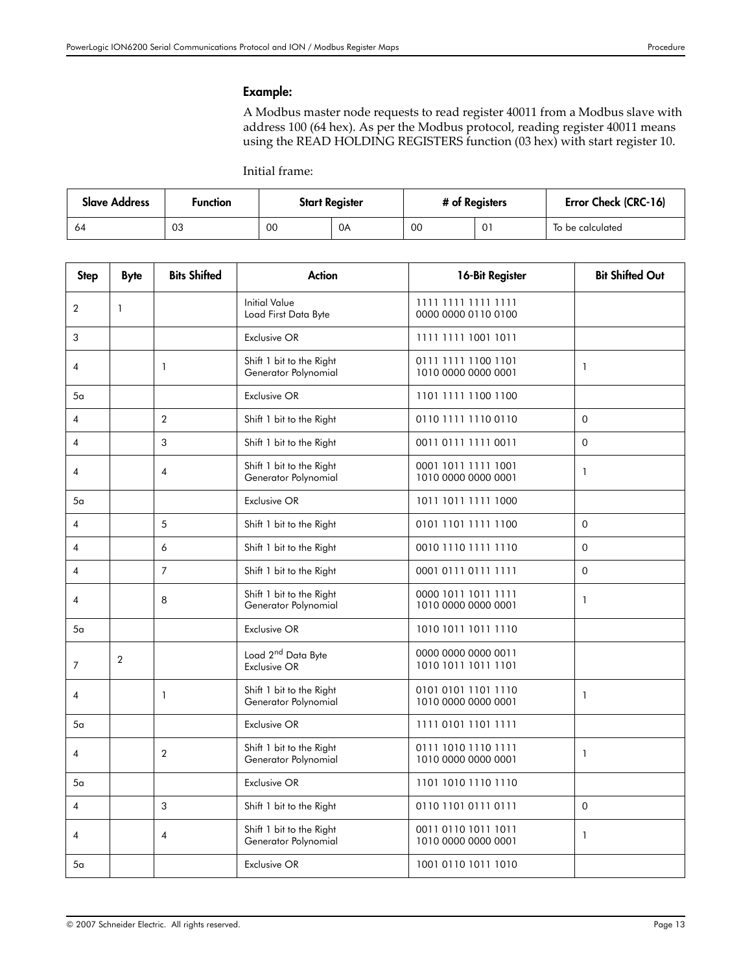#### Example:

A Modbus master node requests to read register 40011 from a Modbus slave with address 100 (64 hex). As per the Modbus protocol, reading register 40011 means using the READ HOLDING REGISTERS function (03 hex) with start register 10.

Initial frame:

| <b>Slave Address</b> | <b>Function</b> | <b>Start Register</b> |    | # of Registers |             | Error Check (CRC-16) |
|----------------------|-----------------|-----------------------|----|----------------|-------------|----------------------|
| 64                   | 03              | 00                    | 0A | 00             | $0^{\circ}$ | To be calculated     |

| <b>Step</b>    | <b>Byte</b>    | <b>Bits Shifted</b> | <b>Action</b>                                         | 16-Bit Register                            | <b>Bit Shifted Out</b> |
|----------------|----------------|---------------------|-------------------------------------------------------|--------------------------------------------|------------------------|
| $\overline{2}$ | 1              |                     | <b>Initial Value</b><br>Load First Data Byte          | 1111 1111 1111 1111<br>0000 0000 0110 0100 |                        |
| 3              |                |                     | <b>Exclusive OR</b>                                   | 1111 1111 1001 1011                        |                        |
| 4              |                | 1                   | Shift 1 bit to the Right<br>Generator Polynomial      | 0111 1111 1100 1101<br>1010 0000 0000 0001 | $\mathbf{1}$           |
| 5a             |                |                     | <b>Exclusive OR</b>                                   | 1101 1111 1100 1100                        |                        |
| $\overline{4}$ |                | 2                   | Shift 1 bit to the Right                              | 0110 1111 1110 0110                        | $\mathbf 0$            |
| 4              |                | 3                   | Shift 1 bit to the Right                              | 0011 0111 1111 0011                        | $\Omega$               |
| 4              |                | $\overline{4}$      | Shift 1 bit to the Right<br>Generator Polynomial      | 0001 1011 1111 1001<br>1010 0000 0000 0001 | $\mathbf{1}$           |
| 5 <sub>a</sub> |                |                     | <b>Exclusive OR</b>                                   | 1011 1011 1111 1000                        |                        |
| 4              |                | 5                   | Shift 1 bit to the Right                              | 0101 1101 1111 1100                        | $\mathbf 0$            |
| 4              |                | 6                   | Shift 1 bit to the Right                              | 0010 1110 1111 1110                        | $\mathbf 0$            |
| 4              |                | $\overline{7}$      | Shift 1 bit to the Right                              | 0001 0111 0111 1111                        | $\Omega$               |
| 4              |                | 8                   | Shift 1 bit to the Right<br>Generator Polynomial      | 0000 1011 1011 1111<br>1010 0000 0000 0001 | $\mathbf{1}$           |
| 5 <sub>a</sub> |                |                     | Exclusive OR                                          | 1010 1011 1011 1110                        |                        |
| 7              | $\overline{2}$ |                     | Load 2 <sup>nd</sup> Data Byte<br><b>Exclusive OR</b> | 0000 0000 0000 0011<br>1010 1011 1011 1101 |                        |
| 4              |                | $\mathbf{1}$        | Shift 1 bit to the Right<br>Generator Polynomial      | 0101 0101 1101 1110<br>1010 0000 0000 0001 | $\mathbf{1}$           |
| 5 <sub>a</sub> |                |                     | Exclusive OR                                          | 1111 0101 1101 1111                        |                        |
| 4              |                | $\overline{2}$      | Shift 1 bit to the Right<br>Generator Polynomial      | 0111 1010 1110 1111<br>1010 0000 0000 0001 | $\mathbf{1}$           |
| 5 <sub>a</sub> |                |                     | Exclusive OR                                          | 1101 1010 1110 1110                        |                        |
| $\overline{4}$ |                | 3                   | Shift 1 bit to the Right                              | 0110 1101 0111 0111                        | $\overline{0}$         |
| 4              |                | $\overline{4}$      | Shift 1 bit to the Right<br>Generator Polynomial      | 0011 0110 1011 1011<br>1010 0000 0000 0001 | $\mathbf{1}$           |
| 5а             |                |                     | <b>Exclusive OR</b>                                   | 1001 0110 1011 1010                        |                        |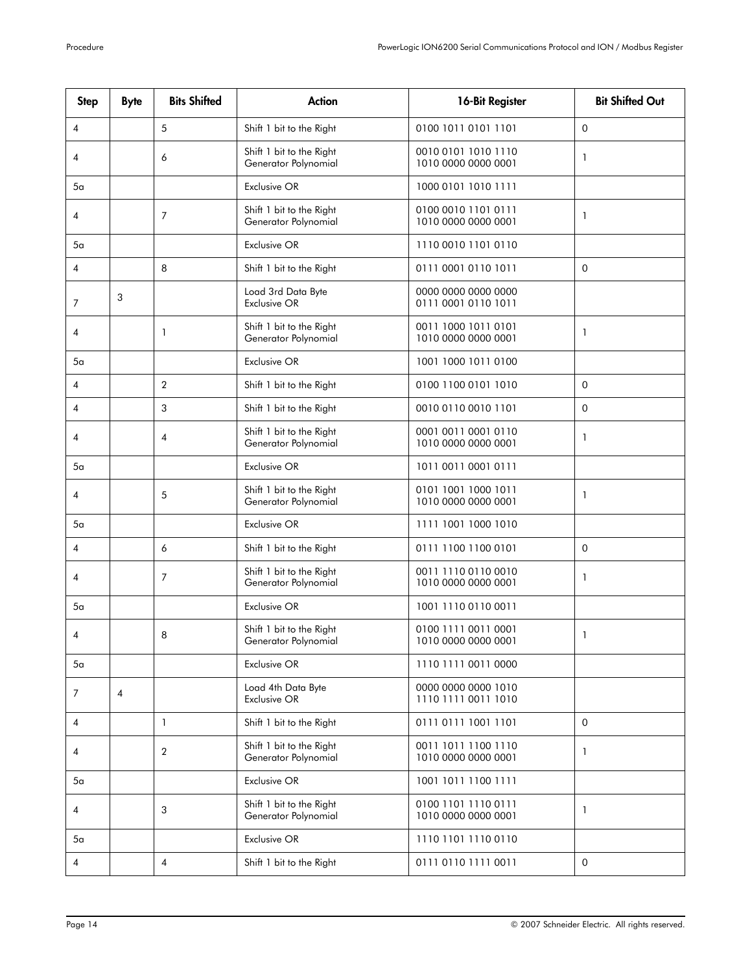| <b>Step</b>    | <b>Byte</b>    | <b>Bits Shifted</b> | <b>Action</b>                                    | 16-Bit Register                            | <b>Bit Shifted Out</b> |
|----------------|----------------|---------------------|--------------------------------------------------|--------------------------------------------|------------------------|
| 4              |                | 5                   | Shift 1 bit to the Right                         | 0100 1011 0101 1101                        | $\Omega$               |
| 4              |                | 6                   | Shift 1 bit to the Right<br>Generator Polynomial | 0010 0101 1010 1110<br>1010 0000 0000 0001 | 1                      |
| 5а             |                |                     | Exclusive OR                                     | 1000 0101 1010 1111                        |                        |
| 4              |                | $\overline{7}$      | Shift 1 bit to the Right<br>Generator Polynomial | 0100 0010 1101 0111<br>1010 0000 0000 0001 | 1                      |
| 5а             |                |                     | Exclusive OR                                     | 1110 0010 1101 0110                        |                        |
| 4              |                | 8                   | Shift 1 bit to the Right                         | 0111 0001 0110 1011                        | $\Omega$               |
| 7              | 3              |                     | Load 3rd Data Byte<br><b>Exclusive OR</b>        | 0000 0000 0000 0000<br>0111 0001 0110 1011 |                        |
| 4              |                | 1                   | Shift 1 bit to the Right<br>Generator Polynomial | 0011 1000 1011 0101<br>1010 0000 0000 0001 | 1                      |
| 5 <sub>a</sub> |                |                     | Exclusive OR                                     | 1001 1000 1011 0100                        |                        |
| 4              |                | $\overline{2}$      | Shift 1 bit to the Right                         | 0100 1100 0101 1010                        | $\Omega$               |
| 4              |                | 3                   | Shift 1 bit to the Right                         | 0010 0110 0010 1101                        | $\mathbf 0$            |
| $\overline{4}$ |                | 4                   | Shift 1 bit to the Right<br>Generator Polynomial | 0001 0011 0001 0110<br>1010 0000 0000 0001 | 1                      |
| 5 <sub>a</sub> |                |                     | <b>Exclusive OR</b>                              | 1011 0011 0001 0111                        |                        |
| 4              |                | 5                   | Shift 1 bit to the Right<br>Generator Polynomial | 0101 1001 1000 1011<br>1010 0000 0000 0001 | 1                      |
| 5а             |                |                     | Exclusive OR                                     | 1111 1001 1000 1010                        |                        |
| 4              |                | 6                   | Shift 1 bit to the Right                         | 0111 1100 1100 0101                        | $\Omega$               |
| 4              |                | 7                   | Shift 1 bit to the Right<br>Generator Polynomial | 0011 1110 0110 0010<br>1010 0000 0000 0001 | 1                      |
| 5а             |                |                     | <b>Exclusive OR</b>                              | 1001 1110 0110 0011                        |                        |
| 4              |                | 8                   | Shift 1 bit to the Right<br>Generator Polynomial | 0100 1111 0011 0001<br>1010 0000 0000 0001 | $\mathbf{1}$           |
| 5a             |                |                     | Exclusive OR                                     | 1110 1111 0011 0000                        |                        |
| 7              | $\overline{4}$ |                     | Load 4th Data Byte<br><b>Exclusive OR</b>        | 0000 0000 0000 1010<br>1110 1111 0011 1010 |                        |
| $\overline{4}$ |                | $\mathbf{1}$        | Shift 1 bit to the Right                         | 0111 0111 1001 1101                        | $\Omega$               |
| 4              |                | $\overline{2}$      | Shift 1 bit to the Right<br>Generator Polynomial | 0011 1011 1100 1110<br>1010 0000 0000 0001 | 1                      |
| 5 <sub>a</sub> |                |                     | Exclusive OR                                     | 1001 1011 1100 1111                        |                        |
| 4              |                | 3                   | Shift 1 bit to the Right<br>Generator Polynomial | 0100 1101 1110 0111<br>1010 0000 0000 0001 | 1                      |
| 5а             |                |                     | <b>Exclusive OR</b>                              | 1110 1101 1110 0110                        |                        |
| 4              |                | 4                   | Shift 1 bit to the Right                         | 0111 0110 1111 0011                        | $\mathbf 0$            |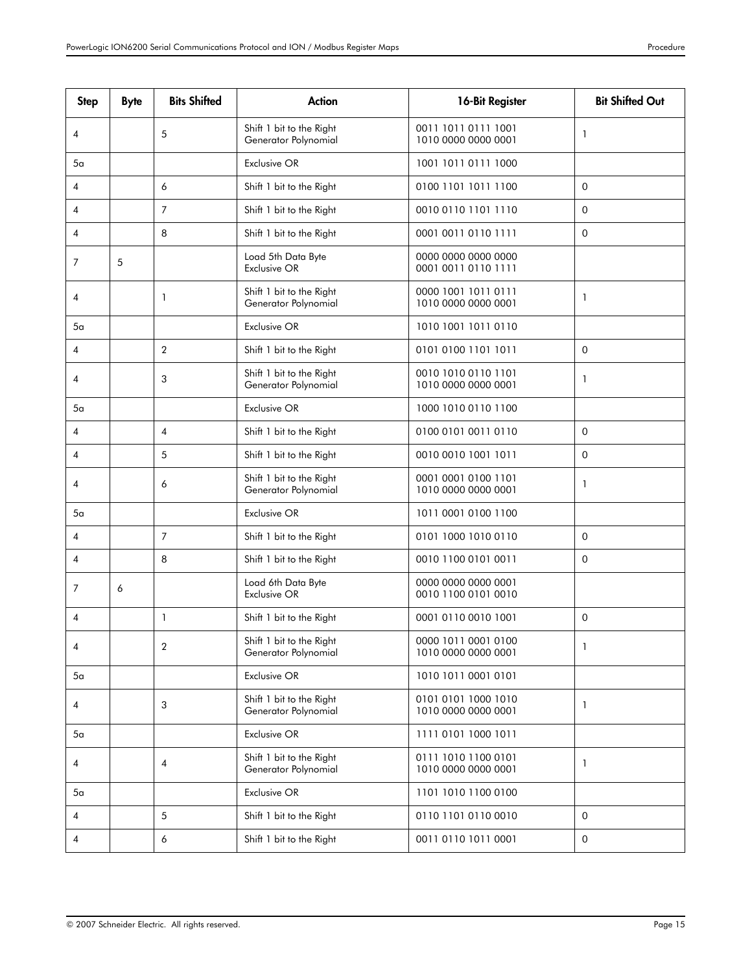| <b>Step</b> | <b>Byte</b> | <b>Bits Shifted</b> | <b>Action</b>                                    | 16-Bit Register                            | <b>Bit Shifted Out</b> |
|-------------|-------------|---------------------|--------------------------------------------------|--------------------------------------------|------------------------|
| 4           |             | 5                   | Shift 1 bit to the Right<br>Generator Polynomial | 0011 1011 0111 1001<br>1010 0000 0000 0001 | 1                      |
| 5а          |             |                     | <b>Exclusive OR</b>                              | 1001 1011 0111 1000                        |                        |
| 4           |             | 6                   | Shift 1 bit to the Right                         | 0100 1101 1011 1100                        | $\mathbf 0$            |
| 4           |             | $\overline{7}$      | Shift 1 bit to the Right                         | 0010 0110 1101 1110                        | $\mathbf 0$            |
| 4           |             | 8                   | Shift 1 bit to the Right                         | 0001 0011 0110 1111                        | $\mathbf 0$            |
| 7           | 5           |                     | Load 5th Data Byte<br>Exclusive OR               | 0000 0000 0000 0000<br>0001 0011 0110 1111 |                        |
| 4           |             | $\mathbf{1}$        | Shift 1 bit to the Right<br>Generator Polynomial | 0000 1001 1011 0111<br>1010 0000 0000 0001 | 1                      |
| 5а          |             |                     | <b>Exclusive OR</b>                              | 1010 1001 1011 0110                        |                        |
| 4           |             | $\overline{2}$      | Shift 1 bit to the Right                         | 0101 0100 1101 1011                        | $\mathbf 0$            |
| 4           |             | 3                   | Shift 1 bit to the Right<br>Generator Polynomial | 0010 1010 0110 1101<br>1010 0000 0000 0001 | 1                      |
| 5a          |             |                     | Exclusive OR                                     | 1000 1010 0110 1100                        |                        |
| 4           |             | $\overline{4}$      | Shift 1 bit to the Right                         | 0100 0101 0011 0110                        | $\Omega$               |
| 4           |             | 5                   | Shift 1 bit to the Right                         | 0010 0010 1001 1011                        | $\mathbf 0$            |
| 4           |             | 6                   | Shift 1 bit to the Right<br>Generator Polynomial | 0001 0001 0100 1101<br>1010 0000 0000 0001 | 1                      |
| 5a          |             |                     | Exclusive OR                                     | 1011 0001 0100 1100                        |                        |
| 4           |             | $\overline{7}$      | Shift 1 bit to the Right                         | 0101 1000 1010 0110                        | $\mathbf 0$            |
| 4           |             | 8                   | Shift 1 bit to the Right                         | 0010 1100 0101 0011                        | $\mathbf 0$            |
| 7           | 6           |                     | Load 6th Data Byte<br>Exclusive OR               | 0000 0000 0000 0001<br>0010 1100 0101 0010 |                        |
| 4           |             | $\mathbf{1}$        | Shift 1 bit to the Right                         | 0001 0110 0010 1001                        | $\mathbf 0$            |
| 4           |             | $\overline{2}$      | Shift 1 bit to the Right<br>Generator Polynomial | 0000 1011 0001 0100<br>1010 0000 0000 0001 | 1                      |
| 5a          |             |                     | Exclusive OR                                     | 1010 1011 0001 0101                        |                        |
| 4           |             | 3                   | Shift 1 bit to the Right<br>Generator Polynomial | 0101 0101 1000 1010<br>1010 0000 0000 0001 | 1                      |
| 5a          |             |                     | <b>Exclusive OR</b>                              | 1111 0101 1000 1011                        |                        |
| 4           |             | $\overline{4}$      | Shift 1 bit to the Right<br>Generator Polynomial | 0111 1010 1100 0101<br>1010 0000 0000 0001 | 1                      |
| 5α          |             |                     | Exclusive OR                                     | 1101 1010 1100 0100                        |                        |
| 4           |             | 5                   | Shift 1 bit to the Right                         | 0110 1101 0110 0010                        | $\mathbf 0$            |
| 4           |             | 6                   | Shift 1 bit to the Right                         | 0011 0110 1011 0001                        | $\mathbf 0$            |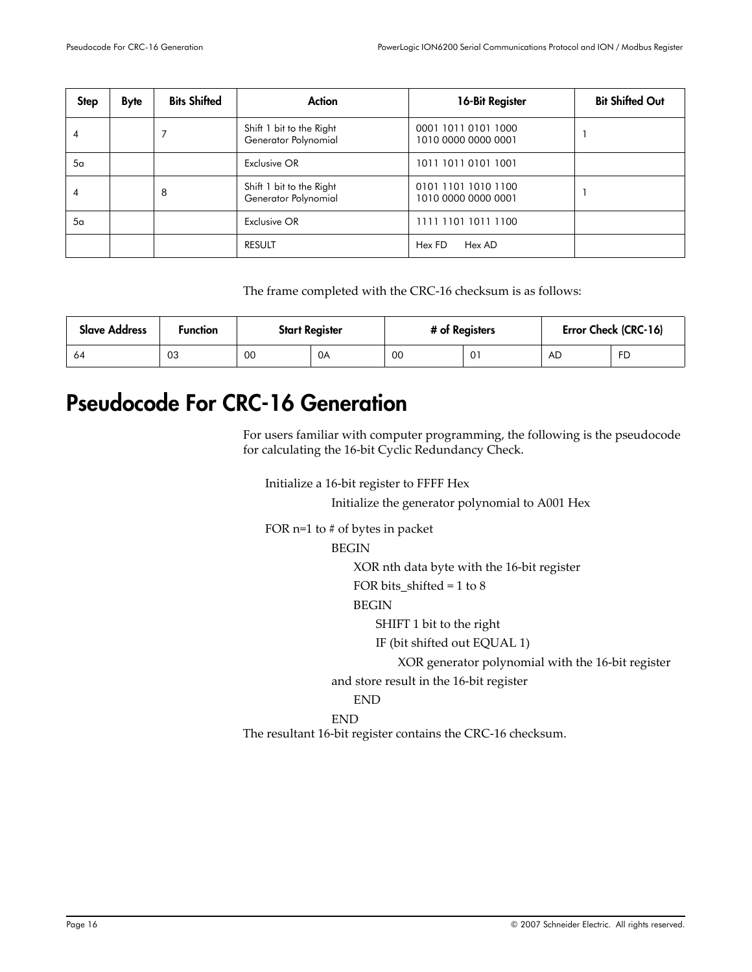| <b>Step</b>    | <b>Byte</b> | <b>Bits Shifted</b> | Action                                           | 16-Bit Register                            | <b>Bit Shifted Out</b> |
|----------------|-------------|---------------------|--------------------------------------------------|--------------------------------------------|------------------------|
| 4              |             |                     | Shift 1 bit to the Right<br>Generator Polynomial | 0001 1011 0101 1000<br>1010 0000 0000 0001 |                        |
| 5 <sub>a</sub> |             |                     | Exclusive OR                                     | 1011 1011 0101 1001                        |                        |
| 4              |             | 8                   | Shift 1 bit to the Right<br>Generator Polynomial | 0101 1101 1010 1100<br>1010 0000 0000 0001 |                        |
| 5 <sub>a</sub> |             |                     | Exclusive OR                                     | 1111 1101 1011 1100                        |                        |
|                |             |                     | <b>RESULT</b>                                    | Hex AD<br>Hex FD                           |                        |

The frame completed with the CRC-16 checksum is as follows:

| <b>Slave Address</b> | Function | <b>Start Register</b> |    | # of Registers |                | Error Check (CRC-16) |    |
|----------------------|----------|-----------------------|----|----------------|----------------|----------------------|----|
| 64                   | 03       | 00                    | 0A | 00             | 0 <sup>1</sup> | AD                   | FD |

# <span id="page-15-0"></span>Pseudocode For CRC-16 Generation

For users familiar with computer programming, the following is the pseudocode for calculating the 16‐bit Cyclic Redundancy Check.

Initialize a 16‐bit register to FFFF Hex

Initialize the generator polynomial to A001 Hex

FOR n=1 to # of bytes in packet

BEGIN

XOR nth data byte with the 16‐bit register

FOR bits\_shifted = 1 to 8

#### BEGIN

SHIFT 1 bit to the right

IF (bit shifted out EQUAL 1)

XOR generator polynomial with the 16‐bit register

and store result in the 16‐bit register

END

### END

The resultant 16‐bit register contains the CRC‐16 checksum.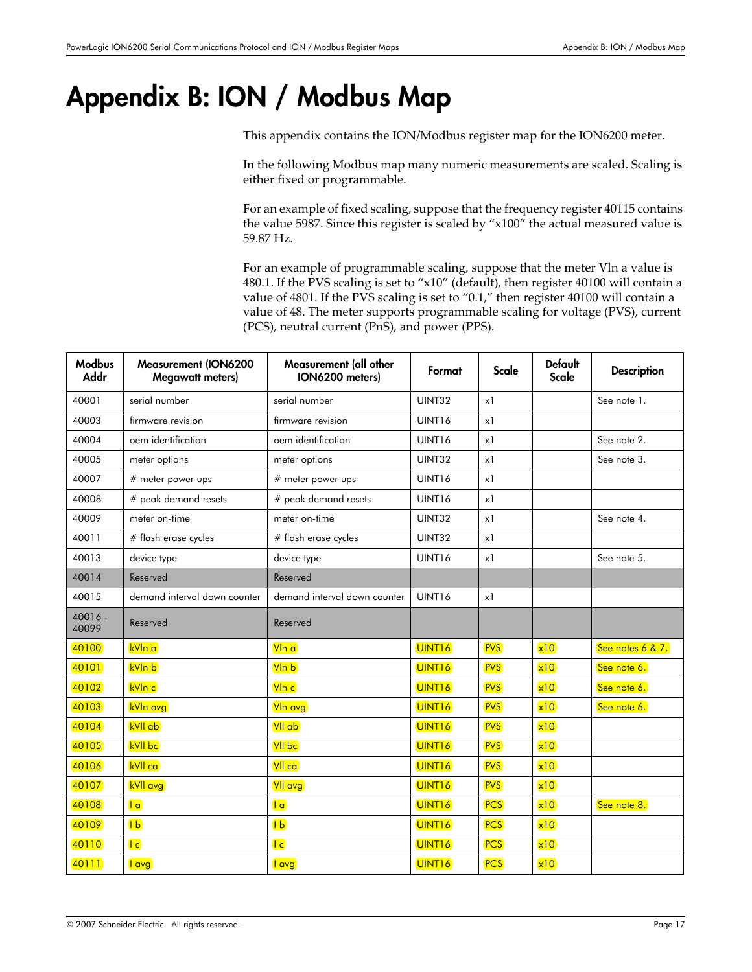# <span id="page-16-0"></span>Appendix B: ION / Modbus Map

This appendix contains the ION/Modbus register map for the ION6200 meter.

In the following Modbus map many numeric measurements are scaled. Scaling is either fixed or programmable.

For an example of fixed scaling, suppose that the frequency register 40115 contains the value 5987. Since this register is scaled by "x100" the actual measured value is 59.87 Hz.

For an example of programmable scaling, suppose that the meter Vln a value is 480.1. If the PVS scaling is set to "x10" (default), then register 40100 will contain a value of 4801. If the PVS scaling is set to "0.1," then register 40100 will contain a value of 48. The meter supports programmable scaling for voltage (PVS), current (PCS), neutral current (PnS), and power (PPS).

| <b>Modbus</b><br><b>Addr</b> | <b>Measurement (ION6200</b><br><b>Megawatt meters)</b> | Measurement (all other<br>ION6200 meters) | Format              |            | <b>Default</b><br><b>Scale</b> | <b>Description</b> |
|------------------------------|--------------------------------------------------------|-------------------------------------------|---------------------|------------|--------------------------------|--------------------|
| 40001                        | serial number                                          | serial number                             | <b>UINT32</b><br>x1 |            |                                | See note 1.        |
| 40003                        | firmware revision                                      | firmware revision                         | UINT16              | x1         |                                |                    |
| 40004                        | oem identification                                     | oem identification                        | UINT16              | x1         |                                | See note 2.        |
| 40005                        | meter options                                          | meter options                             | <b>UINT32</b>       | x1         |                                | See note 3.        |
| 40007                        | # meter power ups                                      | # meter power ups                         | UINT16              | x1         |                                |                    |
| 40008                        | # peak demand resets                                   | # peak demand resets                      | UINT16              | x1         |                                |                    |
| 40009                        | meter on-time                                          | meter on-time                             | <b>UINT32</b>       | x1         |                                | See note 4.        |
| 40011                        | # flash erase cycles                                   | # flash erase cycles                      | UINT32              | x1         |                                |                    |
| 40013                        | device type                                            | device type                               | UINT16              | x1         |                                | See note 5.        |
| 40014                        | Reserved                                               | Reserved                                  |                     |            |                                |                    |
| 40015                        | demand interval down counter                           | demand interval down counter              | UINT16              | x1         |                                |                    |
| $40016 -$<br>40099           | Reserved                                               | Reserved                                  |                     |            |                                |                    |
| 40100                        | kVIn a                                                 | VIn a                                     | UINT <sub>16</sub>  | <b>PVS</b> | x10                            | See notes 6 & 7.   |
| 40101                        | kVIn b                                                 | Vln b                                     | UINT <sub>16</sub>  | <b>PVS</b> | x10                            | See note 6.        |
| 40102                        | kVIn c                                                 | VIn c                                     | UINT <sub>16</sub>  | <b>PVS</b> | x10                            | See note 6.        |
| 40103                        | <b>kVIn avg</b>                                        | VIn avg                                   | UINT <sub>16</sub>  | <b>PVS</b> | x10                            | See note 6.        |
| 40104                        | kVII ab                                                | VII ab                                    | UINT <sub>16</sub>  | <b>PVS</b> | x10                            |                    |
| 40105                        | <b>kVII</b> bc                                         | <b>VII</b> bc                             | UINT <sub>16</sub>  | <b>PVS</b> | x10                            |                    |
| 40106                        | <b>kVII</b> ca                                         | VII ca                                    | UINT <sub>16</sub>  | <b>PVS</b> | x10                            |                    |
| 40107                        | <b>kVII</b> avg                                        | VII avg                                   | UINT <sub>16</sub>  | <b>PVS</b> | x10                            |                    |
| 40108                        | a                                                      | a                                         | UINT <sub>16</sub>  | <b>PCS</b> | x10                            | See note 8.        |
| 40109                        | $\sqrt{b}$                                             | $\overline{1}$                            | UINT <sub>16</sub>  | <b>PCS</b> | x10                            |                    |
| 40110                        | c                                                      | c                                         | UINT <sub>16</sub>  | <b>PCS</b> | x10                            |                    |
| 40111                        | l avg                                                  | l avg                                     | UINT <sub>16</sub>  | <b>PCS</b> | x10                            |                    |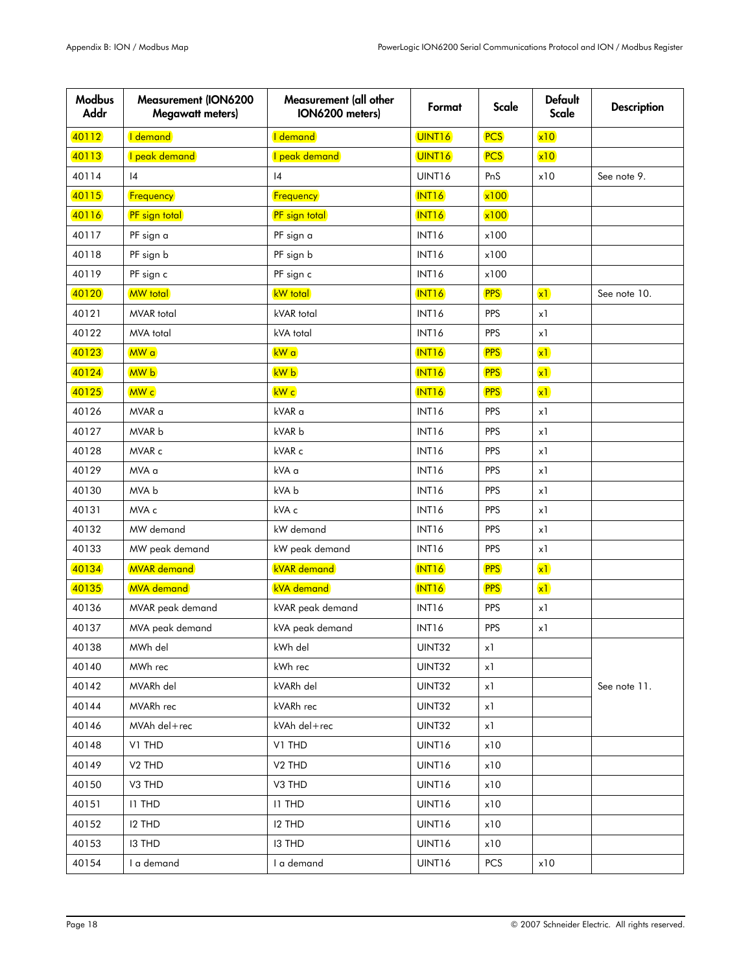| <b>Modbus</b><br><b>Addr</b> | <b>Measurement (ION6200</b><br><b>Megawatt meters)</b> | Measurement (all other<br>ION6200 meters) | Format             | <b>Scale</b> | <b>Default</b><br>Scale | <b>Description</b> |
|------------------------------|--------------------------------------------------------|-------------------------------------------|--------------------|--------------|-------------------------|--------------------|
| 40112                        | I demand                                               | I demand                                  | UINT <sub>16</sub> | <b>PCS</b>   | x10                     |                    |
| 40113                        | I peak demand                                          | I peak demand                             | UINT <sub>16</sub> | <b>PCS</b>   | x10                     |                    |
| 40114                        | 4                                                      | 4                                         | UINT16             | PnS          | x10                     | See note 9.        |
| 40115                        | Frequency                                              | Frequency                                 | INT <sub>16</sub>  | x100         |                         |                    |
| 40116                        | PF sign total                                          | <b>PF</b> sign total                      | <b>INT16</b>       | x100         |                         |                    |
| 40117                        | PF sign a                                              | PF sign a                                 | INT16              | x100         |                         |                    |
| 40118                        | PF sign b                                              | PF sign b                                 | INT16              | x100         |                         |                    |
| 40119                        | PF sign c                                              | PF sign c                                 | INT16              | x100         |                         |                    |
| 40120                        | <b>MW</b> total                                        | <b>kW</b> total                           | <b>INT16</b>       | <b>PPS</b>   | x1                      | See note 10.       |
| 40121                        | <b>MVAR</b> total                                      | kVAR total                                | INT16              | <b>PPS</b>   | x1                      |                    |
| 40122                        | MVA total                                              | kVA total                                 | INT16              | <b>PPS</b>   | x1                      |                    |
| 40123                        | MW a                                                   | kW a                                      | <b>INT16</b>       | <b>PPS</b>   | x1                      |                    |
| 40124                        | MW b                                                   | kW b                                      | INT <sub>16</sub>  | <b>PPS</b>   | x1                      |                    |
| 40125                        | MW c                                                   | kW c                                      | INT <sub>16</sub>  | <b>PPS</b>   | x1                      |                    |
| 40126                        | MVAR a                                                 | kVAR a                                    | INT16              | <b>PPS</b>   | x1                      |                    |
| 40127                        | MVAR b                                                 | kVAR b                                    | INT16              | <b>PPS</b>   | x1                      |                    |
| 40128                        | MVAR c                                                 | kVAR c                                    | INT16              | <b>PPS</b>   | x1                      |                    |
| 40129                        | MVA a                                                  | kVA a                                     | INT16              | <b>PPS</b>   | x1                      |                    |
| 40130                        | MVA b                                                  | kVA b                                     | INT16              | <b>PPS</b>   | x1                      |                    |
| 40131                        | MVA c                                                  | kVA c                                     | INT16              | <b>PPS</b>   | x1                      |                    |
| 40132                        | MW demand                                              | kW demand                                 | INT16              | <b>PPS</b>   | x1                      |                    |
| 40133                        | MW peak demand                                         | kW peak demand                            | INT16              | <b>PPS</b>   | x1                      |                    |
| 40134                        | <b>MVAR</b> demand                                     | <b>kVAR</b> demand                        | INT <sub>16</sub>  | <b>PPS</b>   | x1                      |                    |
| 40135                        | <b>MVA</b> demand                                      | <b>kVA</b> demand                         | INT <sub>16</sub>  | <b>PPS</b>   | x1                      |                    |
| 40136                        | MVAR peak demand                                       | kVAR peak demand                          | INT16              | <b>PPS</b>   | x1                      |                    |
| 40137                        | MVA peak demand                                        | kVA peak demand                           | INT16              | <b>PPS</b>   | x1                      |                    |
| 40138                        | MWh del                                                | kWh del                                   | UINT32             | x1           |                         |                    |
| 40140                        | MWh rec                                                | kWh rec                                   | UINT32             | x1           |                         |                    |
| 40142                        | MVARh del                                              | kVARh del                                 | <b>UINT32</b>      | x1           |                         | See note 11.       |
| 40144                        | MVARh rec                                              | kVARh rec                                 | UINT32             | x1           |                         |                    |
| 40146                        | MVAh del+rec                                           | kVAh del+rec                              | UINT32             | x1           |                         |                    |
| 40148                        | V1 THD                                                 | V1 THD                                    | UINT16             | x10          |                         |                    |
| 40149                        | V <sub>2</sub> THD                                     | V <sub>2</sub> THD                        | UINT16             | x10          |                         |                    |
| 40150                        | V3 THD                                                 | V3 THD                                    | UINT16             | x10          |                         |                    |
| 40151                        | <b>I1 THD</b>                                          | <b>IT THD</b>                             | UINT16             | x10          |                         |                    |
| 40152                        | <b>I2 THD</b>                                          | <b>I2 THD</b>                             | UINT16             | x10          |                         |                    |
| 40153                        | <b>I3 THD</b>                                          | 13 THD                                    | UINT16             | x10          |                         |                    |
| 40154                        | I a demand                                             | I a demand                                | UINT16             | <b>PCS</b>   | x10                     |                    |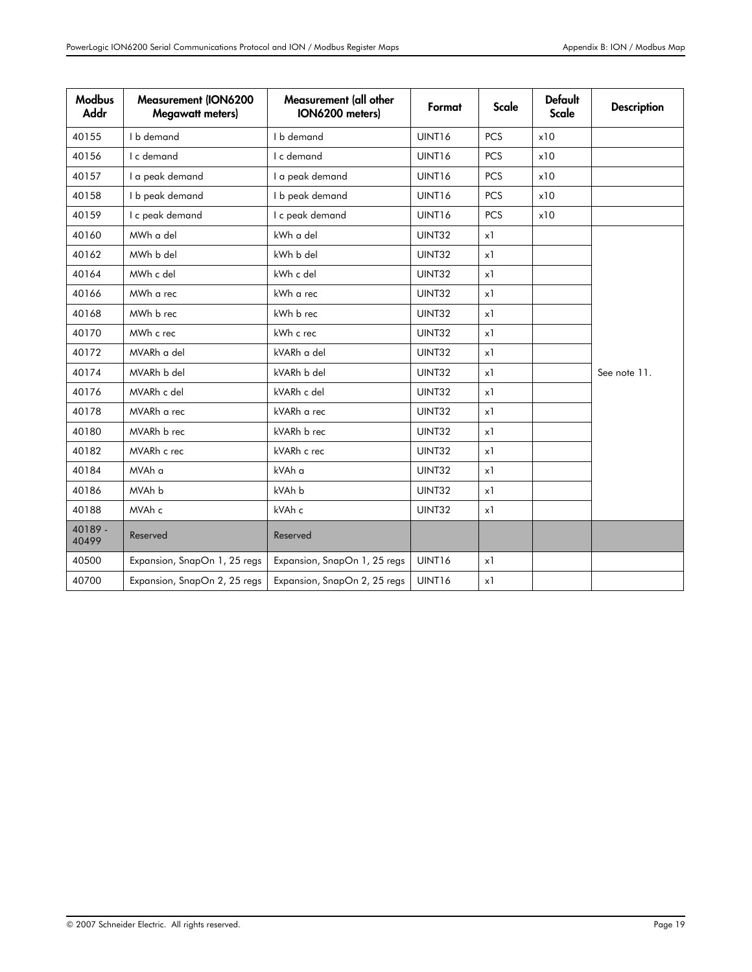| <b>Modbus</b><br><b>Addr</b> | <b>Measurement (ION6200</b><br><b>Megawatt meters)</b> | Measurement (all other<br>ION6200 meters) | Format        | Scale      | <b>Default</b><br><b>Scale</b> | <b>Description</b> |
|------------------------------|--------------------------------------------------------|-------------------------------------------|---------------|------------|--------------------------------|--------------------|
| 40155                        | I b demand                                             | I b demand                                | UINT16        | <b>PCS</b> | x10                            |                    |
| 40156                        | I c demand                                             | UINT16<br>I c demand<br><b>PCS</b><br>x10 |               |            |                                |                    |
| 40157                        | I a peak demand                                        | I a peak demand                           | UINT16        | <b>PCS</b> | x10                            |                    |
| 40158                        | I b peak demand                                        | I b peak demand                           | UINT16        | <b>PCS</b> | x10                            |                    |
| 40159                        | I c peak demand                                        | I c peak demand                           | UINT16        | <b>PCS</b> | x10                            |                    |
| 40160                        | MWh a del                                              | kWh a del                                 | UINT32        | x1         |                                |                    |
| 40162                        | MWh b del                                              | kWh b del                                 | <b>UINT32</b> | x1         |                                |                    |
| 40164                        | MWh c del                                              | kWh c del                                 | UINT32        | x1         |                                |                    |
| 40166                        | MWh a rec                                              | kWh a rec                                 | UINT32        | x1         |                                |                    |
| 40168                        | MWh b rec                                              | kWh b rec                                 | UINT32        | x1         |                                |                    |
| 40170                        | MWh c rec                                              | kWh c rec                                 | UINT32        | x1         |                                |                    |
| 40172                        | MVARh a del                                            | kVARh a del                               | UINT32        | x1         |                                |                    |
| 40174                        | MVARh b del                                            | kVARh b del                               | UINT32        | x1         |                                | See note 11.       |
| 40176                        | MVARh c del                                            | kVARh c del                               | UINT32        | x1         |                                |                    |
| 40178                        | MVARh a rec                                            | kVARh a rec                               | UINT32        | x1         |                                |                    |
| 40180                        | MVARh b rec                                            | kVARh b rec                               | UINT32        | x1         |                                |                    |
| 40182                        | MVARh c rec                                            | kVARh c rec                               | UINT32        | x1         |                                |                    |
| 40184                        | MVAh a                                                 | kVAh a                                    | UINT32        | x1         |                                |                    |
| 40186                        | MVAh b                                                 | kVAh b                                    | UINT32        | x1         |                                |                    |
| 40188                        | MVAh c                                                 | kVAh c                                    | UINT32        | x1         |                                |                    |
| 40189 -<br>40499             | Reserved                                               | Reserved                                  |               |            |                                |                    |
| 40500                        | Expansion, SnapOn 1, 25 regs                           | Expansion, SnapOn 1, 25 regs              | UINT16        | x1         |                                |                    |
| 40700                        | Expansion, SnapOn 2, 25 regs                           | Expansion, SnapOn 2, 25 regs              | UINT16        | x1         |                                |                    |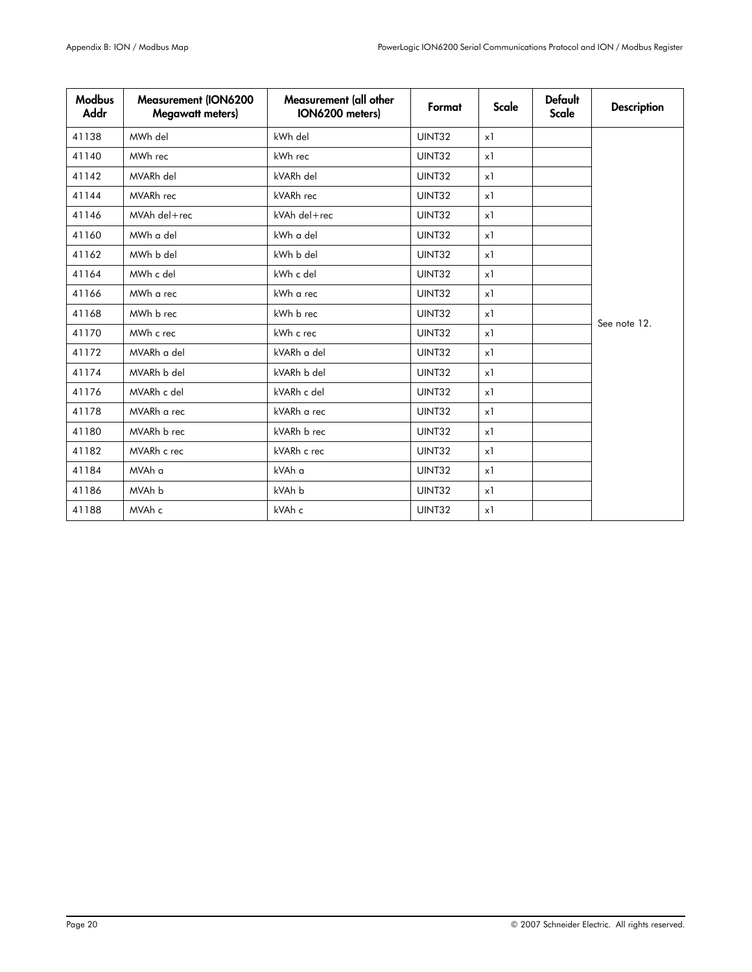| <b>Modbus</b><br>Addr | <b>Measurement (ION6200</b><br><b>Megawatt meters)</b> | Measurement (all other<br>ION6200 meters) | Format | Scale | <b>Default</b><br><b>Scale</b> | <b>Description</b> |
|-----------------------|--------------------------------------------------------|-------------------------------------------|--------|-------|--------------------------------|--------------------|
| 41138                 | MWh del                                                | kWh del                                   | UINT32 | x1    |                                |                    |
| 41140                 | MWh rec                                                | kWh rec                                   | UINT32 | x1    |                                |                    |
| 41142                 | MVARh del                                              | kVARh del                                 | UINT32 | x1    |                                |                    |
| 41144                 | MVARh rec                                              | kVARh rec                                 | UINT32 | x1    |                                |                    |
| 41146                 | MVAh del+rec                                           | kVAh del+rec                              | UINT32 | x1    |                                |                    |
| 41160                 | MWh a del                                              | kWh a del                                 | UINT32 | x1    |                                |                    |
| 41162                 | MWh b del                                              | kWh b del                                 | UINT32 | x1    |                                |                    |
| 41164                 | MWh c del                                              | kWh c del                                 | UINT32 | x1    |                                |                    |
| 41166                 | MWh a rec                                              | kWh a rec                                 | UINT32 | x1    |                                |                    |
| 41168                 | MWh b rec                                              | kWh b rec                                 | UINT32 | x1    |                                | See note 12.       |
| 41170                 | MWh c rec                                              | kWh c rec                                 | UINT32 | x1    |                                |                    |
| 41172                 | MVARh a del                                            | kVARh a del                               | UINT32 | x1    |                                |                    |
| 41174                 | MVARh b del                                            | kVARh b del                               | UINT32 | x1    |                                |                    |
| 41176                 | MVARh c del                                            | kVARh c del                               | UINT32 | x1    |                                |                    |
| 41178                 | MVARh a rec                                            | kVARh a rec                               | UINT32 | x1    |                                |                    |
| 41180                 | MVARh b rec                                            | kVARh b rec                               | UINT32 | x1    |                                |                    |
| 41182                 | MVARh c rec                                            | kVARh c rec                               | UINT32 | x1    |                                |                    |
| 41184                 | MVAh a                                                 | kVAh a                                    | UINT32 | x1    |                                |                    |
| 41186                 | MVAh b                                                 | kVAh b                                    | UINT32 | x1    |                                |                    |
| 41188                 | MVAh c                                                 | kVAh c                                    | UINT32 | x1    |                                |                    |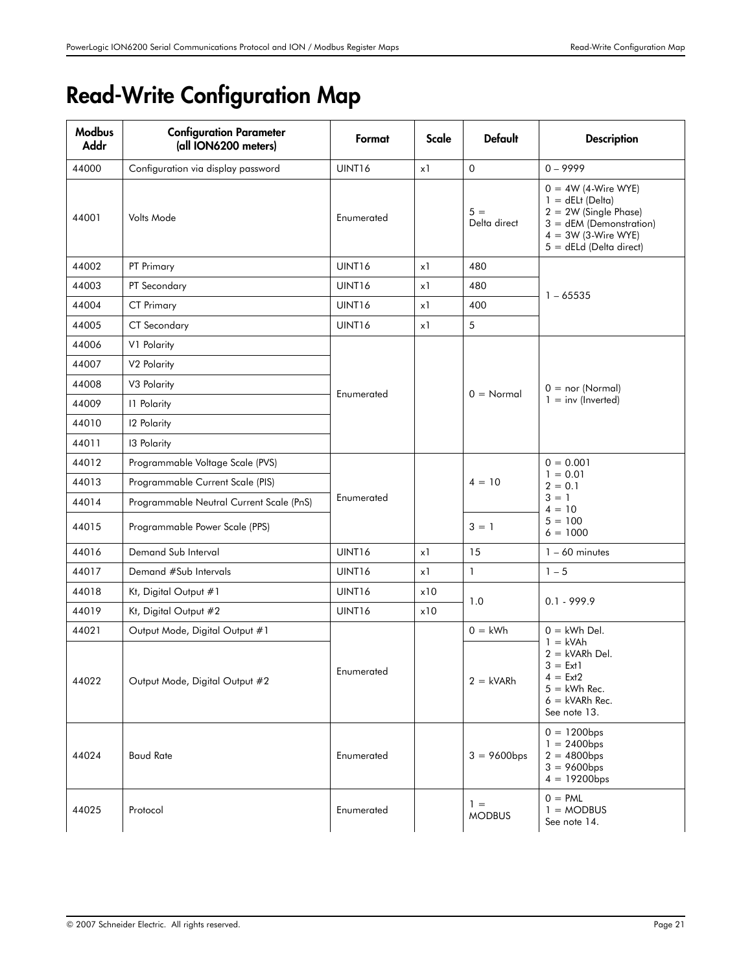# <span id="page-20-0"></span>Read-Write Configuration Map

| <b>Modbus</b><br>Addr | <b>Configuration Parameter</b><br>(all ION6200 meters) | Format     | <b>Scale</b> | <b>Default</b>         | <b>Description</b>                                                                                                                                         |  |
|-----------------------|--------------------------------------------------------|------------|--------------|------------------------|------------------------------------------------------------------------------------------------------------------------------------------------------------|--|
| 44000                 | Configuration via display password                     | UINT16     | x1           | $\mathbf{0}$           | $0 - 9999$                                                                                                                                                 |  |
| 44001                 | Volts Mode                                             | Enumerated |              | $5 =$<br>Delta direct  | $0 = 4W$ (4-Wire WYE)<br>$1 = dElt(Delta)$<br>$2 = 2W$ (Single Phase)<br>$3 = dEM (Demonstration)$<br>$4 = 3W$ (3-Wire WYE)<br>$5 = dE L d$ (Delta direct) |  |
| 44002                 | PT Primary                                             | UINT16     | x1           | 480                    |                                                                                                                                                            |  |
| 44003                 | PT Secondary                                           | UINT16     | x1           | 480                    | $1 - 65535$                                                                                                                                                |  |
| 44004                 | <b>CT Primary</b>                                      | UINT16     | x1           | 400                    |                                                                                                                                                            |  |
| 44005                 | <b>CT</b> Secondary                                    | UINT16     | x1           | 5                      |                                                                                                                                                            |  |
| 44006                 | V1 Polarity                                            |            |              |                        |                                                                                                                                                            |  |
| 44007                 | V <sub>2</sub> Polarity                                |            |              |                        |                                                                                                                                                            |  |
| 44008                 | V3 Polarity                                            |            |              |                        | $0 = nor (Normal)$                                                                                                                                         |  |
| 44009                 | 11 Polarity                                            | Enumerated |              | $0 = \text{Normal}$    | $1 = inv$ (Inverted)                                                                                                                                       |  |
| 44010                 | 12 Polarity                                            |            |              |                        |                                                                                                                                                            |  |
| 44011                 | 13 Polarity                                            |            |              |                        |                                                                                                                                                            |  |
| 44012                 | Programmable Voltage Scale (PVS)                       |            |              |                        | $0 = 0.001$                                                                                                                                                |  |
| 44013                 | Programmable Current Scale (PIS)                       |            |              | $4 = 10$               | $1 = 0.01$<br>$2 = 0.1$                                                                                                                                    |  |
| 44014                 | Programmable Neutral Current Scale (PnS)               | Enumerated |              |                        | $3 = 1$<br>$4 = 10$                                                                                                                                        |  |
| 44015                 | Programmable Power Scale (PPS)                         |            |              | $3 = 1$                | $5 = 100$<br>$6 = 1000$                                                                                                                                    |  |
| 44016                 | Demand Sub Interval                                    | UINT16     | x1           | 15                     | $1 - 60$ minutes                                                                                                                                           |  |
| 44017                 | Demand #Sub Intervals                                  | UINT16     | x1           | $\mathbf{1}$           | $1 - 5$                                                                                                                                                    |  |
| 44018                 | Kt, Digital Output #1                                  | UINT16     | x10          | 1.0                    | $0.1 - 999.9$                                                                                                                                              |  |
| 44019                 | Kt, Digital Output #2                                  | UINT16     | x10          |                        |                                                                                                                                                            |  |
| 44021                 | Output Mode, Digital Output #1                         |            |              | $0 = kWh$              | $0 =$ kWh Del.                                                                                                                                             |  |
| 44022                 | Output Mode, Digital Output #2                         | Enumerated |              | $2 = kVARh$            | $1 = kVAh$<br>$2 = kVARh Del.$<br>$3 = Ext1$<br>$4 = Ext2$<br>$5 =$ kWh Rec.<br>$6 = kVARh$ Rec.<br>See note 13.                                           |  |
| 44024                 | <b>Baud Rate</b>                                       | Enumerated |              | $3 = 9600bps$          | $0 = 1200bps$<br>$1 = 2400bps$<br>$2 = 4800bps$<br>$3 = 9600bps$<br>$4 = 19200$ bps                                                                        |  |
| 44025                 | Protocol                                               | Enumerated |              | $1 =$<br><b>MODBUS</b> | $0 = PML$<br>$1 = MODBUS$<br>See note 14.                                                                                                                  |  |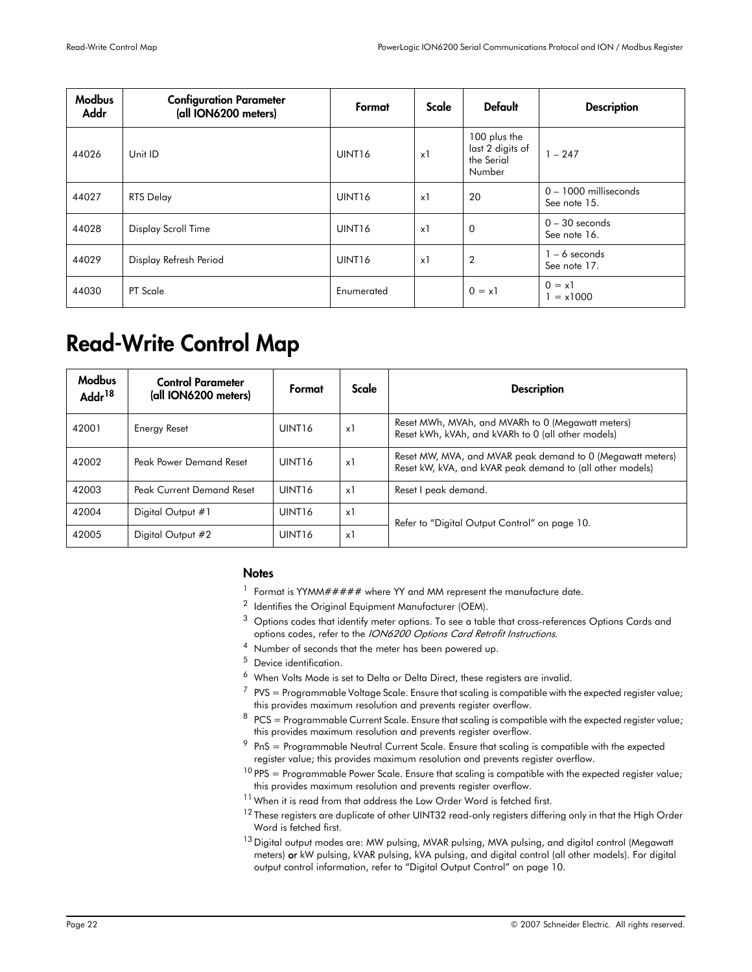| <b>Modbus</b><br>Addr | <b>Configuration Parameter</b><br>(all ION6200 meters) | Format             | Scale      | <b>Default</b>                                           | <b>Description</b>                      |
|-----------------------|--------------------------------------------------------|--------------------|------------|----------------------------------------------------------|-----------------------------------------|
| 44026                 | Unit ID                                                | UINT <sub>16</sub> | $\times$ 1 | 100 plus the<br>last 2 digits of<br>the Serial<br>Number | $1 - 247$                               |
| 44027                 | <b>RTS Delay</b>                                       | UINT <sub>16</sub> | $\times$ 1 | 20                                                       | $0 - 1000$ milliseconds<br>See note 15. |
| 44028                 | Display Scroll Time                                    | UINT <sub>16</sub> | $\times$ 1 | $\mathbf 0$                                              | $0 - 30$ seconds<br>See note 16.        |
| 44029                 | Display Refresh Period                                 | UINT <sub>16</sub> | $\times$ 1 | $\overline{2}$                                           | $1 - 6$ seconds<br>See note 17.         |
| 44030                 | PT Scale                                               | Enumerated         |            | $0 = x1$                                                 | $0 = x1$<br>$= x1000$                   |

# <span id="page-21-0"></span>Read-Write Control Map

| <b>Modbus</b><br>Addr <sup>18</sup> | <b>Control Parameter</b><br>(all ION6200 meters) | Format             | Scale      | <b>Description</b>                                                                                                      |
|-------------------------------------|--------------------------------------------------|--------------------|------------|-------------------------------------------------------------------------------------------------------------------------|
| 42001                               | Energy Reset                                     | UINT <sub>16</sub> | x1         | Reset MWh, MVAh, and MVARh to 0 (Megawatt meters)<br>Reset kWh, kVAh, and kVARh to 0 (all other models)                 |
| 42002                               | Peak Power Demand Reset                          | UINT <sub>16</sub> | $\times$ 1 | Reset MW, MVA, and MVAR peak demand to 0 (Megawatt meters)<br>Reset kW, kVA, and kVAR peak demand to (all other models) |
| 42003                               | Peak Current Demand Reset                        | UINT <sub>16</sub> | x1         | Reset I peak demand.                                                                                                    |
| 42004                               | Digital Output #1                                | UINT <sub>16</sub> | $\times$ 1 | Refer to "Digital Output Control" on page 10.                                                                           |
| 42005                               | Digital Output #2                                | UINT <sub>16</sub> | x1         |                                                                                                                         |

#### **Notes**

- <sup>1</sup> Format is YYMM##### where YY and MM represent the manufacture date.
- $2$  Identifies the Original Equipment Manufacturer (OEM).
- $3$  Options codes that identify meter options. To see a table that cross-references Options Cards and options codes, refer to the ION6200 Options Card Retrofit Instructions.
- <sup>4</sup> Number of seconds that the meter has been powered up.
- <sup>5</sup> Device identification.
- $6$  When Volts Mode is set to Delta or Delta Direct, these registers are invalid.
- $7$  PVS = Programmable Voltage Scale. Ensure that scaling is compatible with the expected register value; this provides maximum resolution and prevents register overflow.
- $8$  PCS = Programmable Current Scale. Ensure that scaling is compatible with the expected register value; this provides maximum resolution and prevents register overflow.
- $9$  PnS = Programmable Neutral Current Scale. Ensure that scaling is compatible with the expected register value; this provides maximum resolution and prevents register overflow.
- $10$  PPS = Programmable Power Scale. Ensure that scaling is compatible with the expected register value; this provides maximum resolution and prevents register overflow.
- $11$  When it is read from that address the Low Order Word is fetched first.
- <sup>12</sup> These registers are duplicate of other UINT32 read-only registers differing only in that the High Order Word is fetched first.
- <sup>13</sup> Digital output modes are: MW pulsing, MVAR pulsing, MVA pulsing, and digital control (Megawatt meters) or kW pulsing, kVAR pulsing, kVA pulsing, and digital control (all other models). For digital output control information, refer to ["Digital Output Control" on page 10.](#page-9-1)